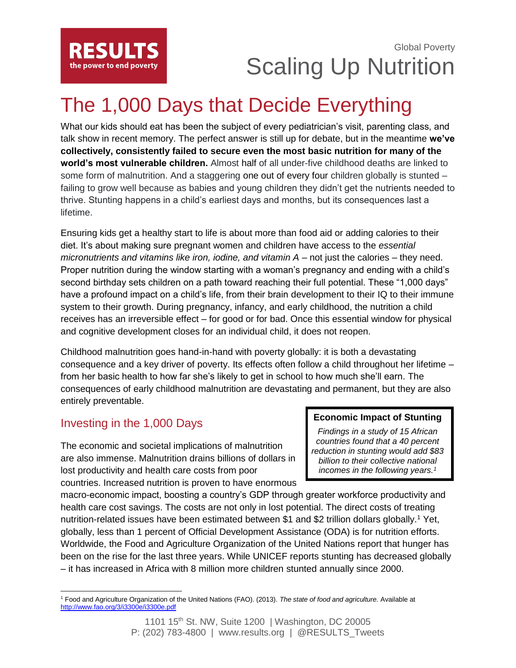

## Global Poverty Scaling Up Nutrition

# The 1,000 Days that Decide Everything

What our kids should eat has been the subject of every pediatrician's visit, parenting class, and talk show in recent memory. The perfect answer is still up for debate, but in the meantime **we've collectively, consistently failed to secure even the most basic nutrition for many of the world's most vulnerable children.** Almost half of all under-five childhood deaths are linked to some form of malnutrition. And a staggering one out of every four children globally is stunted – failing to grow well because as babies and young children they didn't get the nutrients needed to thrive. Stunting happens in a child's earliest days and months, but its consequences last a lifetime.

Ensuring kids get a healthy start to life is about more than food aid or adding calories to their diet. It's about making sure pregnant women and children have access to the *essential micronutrients and vitamins like iron, iodine, and vitamin A* – not just the calories – they need. Proper nutrition during the window starting with a woman's pregnancy and ending with a child's second birthday sets children on a path toward reaching their full potential. These "1,000 days" have a profound impact on a child's life, from their brain development to their IQ to their immune system to their growth. During pregnancy, infancy, and early childhood, the nutrition a child receives has an irreversible effect – for good or for bad. Once this essential window for physical and cognitive development closes for an individual child, it does not reopen.

Childhood malnutrition goes hand-in-hand with poverty globally: it is both a devastating consequence and a key driver of poverty. Its effects often follow a child throughout her lifetime – from her basic health to how far she's likely to get in school to how much she'll earn. The consequences of early childhood malnutrition are devastating and permanent, but they are also entirely preventable.

## Investing in the 1,000 Days

The economic and societal implications of malnutrition are also immense. Malnutrition drains billions of dollars in lost productivity and health care costs from poor countries. Increased nutrition is proven to have enormous

#### **Economic Impact of Stunting**

*Findings in a study of 15 African countries found that a 40 percent reduction in stunting would add \$83 billion to their collective national incomes in the following years.1*

macro-economic impact, boosting a country's GDP through greater workforce productivity and health care cost savings. The costs are not only in lost potential. The direct costs of treating nutrition-related issues have been estimated between \$1 and \$2 trillion dollars globally.<sup>1</sup> Yet, globally, less than 1 percent of Official Development Assistance (ODA) is for nutrition efforts. Worldwide, the Food and Agriculture Organization of the United Nations report that hunger has been on the rise for the last three years. While UNICEF reports stunting has decreased globally – it has increased in Africa with 8 million more children stunted annually since 2000.

 $\overline{\phantom{a}}$ <sup>1</sup> Food and Agriculture Organization of the United Nations (FAO). (2013). *The state of food and agriculture.* Available at <http://www.fao.org/3/i3300e/i3300e.pdf>